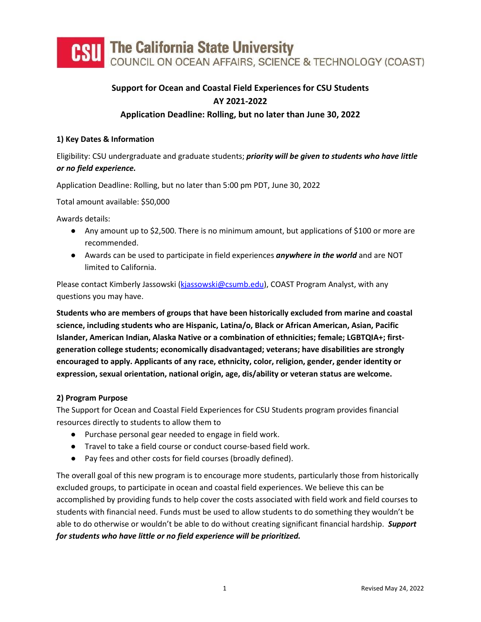

# **Support for Ocean and Coastal Field Experiences for CSU Students AY 2021-2022**

### **Application Deadline: Rolling, but no later than June 30, 2022**

### **1) Key Dates & Information**

Eligibility: CSU undergraduate and graduate students; *priority will be given to students who have little or no field experience.* 

Application Deadline: Rolling, but no later than 5:00 pm PDT, June 30, 2022

Total amount available: \$50,000

Awards details:

- Any amount up to \$2,500. There is no minimum amount, but applications of \$100 or more are recommended.
- Awards can be used to participate in field experiences *anywhere in the world* and are NOT limited to California.

Please contact Kimberly Jassowski [\(kjassowski@csumb.edu\)](mailto:kjassowski@csumb.edu), COAST Program Analyst, with any questions you may have.

**Students who are members of groups that have been historically excluded from marine and coastal science, including students who are Hispanic, Latina/o, Black or African American, Asian, Pacific Islander, American Indian, Alaska Native or a combination of ethnicities; female; LGBTQIA+; firstgeneration college students; economically disadvantaged; veterans; have disabilities are strongly encouraged to apply. Applicants of any race, ethnicity, color, religion, gender, gender identity or expression, sexual orientation, national origin, age, dis/ability or veteran status are welcome.** 

### **2) Program Purpose**

The Support for Ocean and Coastal Field Experiences for CSU Students program provides financial resources directly to students to allow them to

- Purchase personal gear needed to engage in field work.
- Travel to take a field course or conduct course-based field work.
- Pay fees and other costs for field courses (broadly defined).

The overall goal of this new program is to encourage more students, particularly those from historically excluded groups, to participate in ocean and coastal field experiences. We believe this can be accomplished by providing funds to help cover the costs associated with field work and field courses to students with financial need. Funds must be used to allow students to do something they wouldn't be able to do otherwise or wouldn't be able to do without creating significant financial hardship. *Support for students who have little or no field experience will be prioritized.*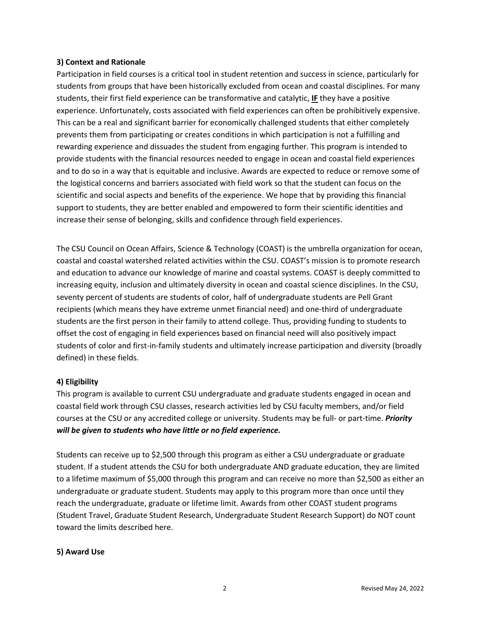#### **3) Context and Rationale**

Participation in field courses is a critical tool in student retention and success in science, particularly for students from groups that have been historically excluded from ocean and coastal disciplines. For many students, their first field experience can be transformative and catalytic, **IF** they have a positive experience. Unfortunately, costs associated with field experiences can often be prohibitively expensive. This can be a real and significant barrier for economically challenged students that either completely prevents them from participating or creates conditions in which participation is not a fulfilling and rewarding experience and dissuades the student from engaging further. This program is intended to provide students with the financial resources needed to engage in ocean and coastal field experiences and to do so in a way that is equitable and inclusive. Awards are expected to reduce or remove some of the logistical concerns and barriers associated with field work so that the student can focus on the scientific and social aspects and benefits of the experience. We hope that by providing this financial support to students, they are better enabled and empowered to form their scientific identities and increase their sense of belonging, skills and confidence through field experiences.

The CSU Council on Ocean Affairs, Science & Technology (COAST) is the umbrella organization for ocean, coastal and coastal watershed related activities within the CSU. COAST's mission is to promote research and education to advance our knowledge of marine and coastal systems. COAST is deeply committed to increasing equity, inclusion and ultimately diversity in ocean and coastal science disciplines. In the CSU, seventy percent of students are students of color, half of undergraduate students are Pell Grant recipients (which means they have extreme unmet financial need) and one-third of undergraduate students are the first person in their family to attend college. Thus, providing funding to students to offset the cost of engaging in field experiences based on financial need will also positively impact students of color and first-in-family students and ultimately increase participation and diversity (broadly defined) in these fields.

### **4) Eligibility**

This program is available to current CSU undergraduate and graduate students engaged in ocean and coastal field work through CSU classes, research activities led by CSU faculty members, and/or field courses at the CSU or any accredited college or university. Students may be full- or part-time. *Priority will be given to students who have little or no field experience.*

Students can receive up to \$2,500 through this program as either a CSU undergraduate or graduate student. If a student attends the CSU for both undergraduate AND graduate education, they are limited to a lifetime maximum of \$5,000 through this program and can receive no more than \$2,500 as either an undergraduate or graduate student. Students may apply to this program more than once until they reach the undergraduate, graduate or lifetime limit. Awards from other COAST student programs (Student Travel, Graduate Student Research, Undergraduate Student Research Support) do NOT count toward the limits described here.

### **5) Award Use**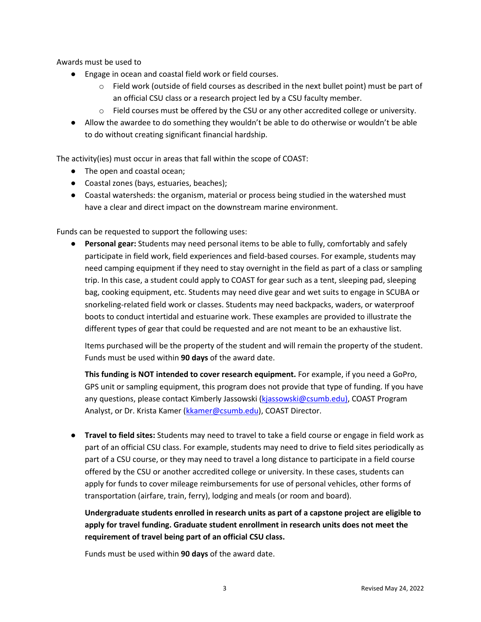Awards must be used to

- Engage in ocean and coastal field work or field courses.
	- $\circ$  Field work (outside of field courses as described in the next bullet point) must be part of an official CSU class or a research project led by a CSU faculty member.
	- $\circ$  Field courses must be offered by the CSU or any other accredited college or university.
- Allow the awardee to do something they wouldn't be able to do otherwise or wouldn't be able to do without creating significant financial hardship.

The activity(ies) must occur in areas that fall within the scope of COAST:

- The open and coastal ocean;
- Coastal zones (bays, estuaries, beaches);
- Coastal watersheds: the organism, material or process being studied in the watershed must have a clear and direct impact on the downstream marine environment.

Funds can be requested to support the following uses:

**● Personal gear:** Students may need personal items to be able to fully, comfortably and safely participate in field work, field experiences and field-based courses. For example, students may need camping equipment if they need to stay overnight in the field as part of a class or sampling trip. In this case, a student could apply to COAST for gear such as a tent, sleeping pad, sleeping bag, cooking equipment, etc. Students may need dive gear and wet suits to engage in SCUBA or snorkeling-related field work or classes. Students may need backpacks, waders, or waterproof boots to conduct intertidal and estuarine work. These examples are provided to illustrate the different types of gear that could be requested and are not meant to be an exhaustive list.

Items purchased will be the property of the student and will remain the property of the student. Funds must be used within **90 days** of the award date.

**This funding is NOT intended to cover research equipment.** For example, if you need a GoPro, GPS unit or sampling equipment, this program does not provide that type of funding. If you have any questions, please contact Kimberly Jassowski [\(kjassowski@csumb.edu\)](mailto:kjassowski@csumb.edu), COAST Program Analyst, or Dr. Krista Kamer [\(kkamer@csumb.edu\)](mailto:kkamer@csumb.edu), COAST Director.

● **Travel to field sites:** Students may need to travel to take a field course or engage in field work as part of an official CSU class. For example, students may need to drive to field sites periodically as part of a CSU course, or they may need to travel a long distance to participate in a field course offered by the CSU or another accredited college or university. In these cases, students can apply for funds to cover mileage reimbursements for use of personal vehicles, other forms of transportation (airfare, train, ferry), lodging and meals (or room and board).

**Undergraduate students enrolled in research units as part of a capstone project are eligible to apply for travel funding. Graduate student enrollment in research units does not meet the requirement of travel being part of an official CSU class.** 

Funds must be used within **90 days** of the award date.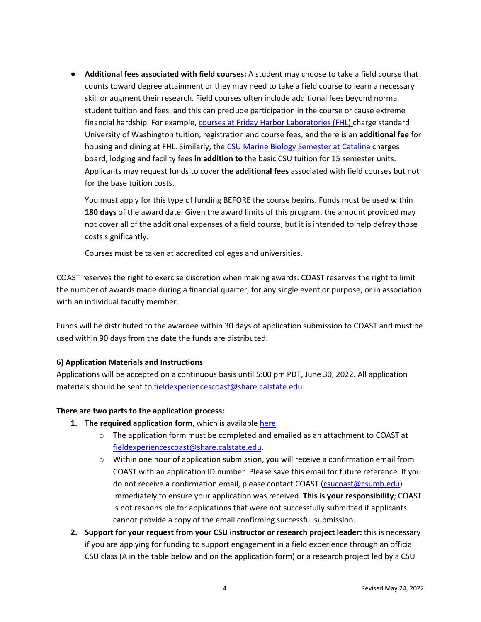**● Additional fees associated with field courses:** A student may choose to take a field course that counts toward degree attainment or they may need to take a field course to learn a necessary skill or augment their research. Field courses often include additional fees beyond normal student tuition and fees, and this can preclude participation in the course or cause extreme financial hardship. For example, [courses at Friday Harbor Laboratories \(FHL\) c](https://fhl.uw.edu/courses/costs-for-fhl-courses/)harge standard University of Washington tuition, registration and course fees, and there is an **additional fee** for housing and dining at FHL. Similarly, the [CSU Marine Biology Semester at Catalina](https://www.scmi.net/csu-marine-biology-catalina-semester/) charges board, lodging and facility fees **in addition to** the basic CSU tuition for 15 semester units. Applicants may request funds to cover **the additional fees** associated with field courses but not for the base tuition costs.

You must apply for this type of funding BEFORE the course begins. Funds must be used within **180 days** of the award date. Given the award limits of this program, the amount provided may not cover all of the additional expenses of a field course, but it is intended to help defray those costs significantly.

Courses must be taken at accredited colleges and universities.

COAST reserves the right to exercise discretion when making awards. COAST reserves the right to limit the number of awards made during a financial quarter, for any single event or purpose, or in association with an individual faculty member.

Funds will be distributed to the awardee within 30 days of application submission to COAST and must be used within 90 days from the date the funds are distributed.

### **6) Application Materials and Instructions**

Applications will be accepted on a continuous basis until 5:00 pm PDT, June 30, 2022. All application materials should be sent to [fieldexperiencescoast@share.calstate.edu.](mailto:fieldexperiencescoast@share.calstate.edu)

#### **There are two parts to the application process:**

- **1. The required application form**, which is available [here.](https://www.calstate.edu/Documents/COAST_2022_FieldExperience_Application_Form_4-28-2022.docx)
	- $\circ$  The application form must be completed and emailed as an attachment to COAST at [fieldexperiencescoast@share.calstate.edu.](mailto:fieldexperiencescoast@share.calstate.edu)
	- $\circ$  Within one hour of application submission, you will receive a confirmation email from COAST with an application ID number. Please save this email for future reference. If you do not receive a confirmation email, please contact COAST [\(csucoast@csumb.edu\)](mailto:csucoast@csumb.edu) immediately to ensure your application was received. **This is your responsibility**; COAST is not responsible for applications that were not successfully submitted if applicants cannot provide a copy of the email confirming successful submission.
- **2. Support for your request from your CSU instructor or research project leader:** this is necessary if you are applying for funding to support engagement in a field experience through an official CSU class (A in the table below and on the application form) or a research project led by a CSU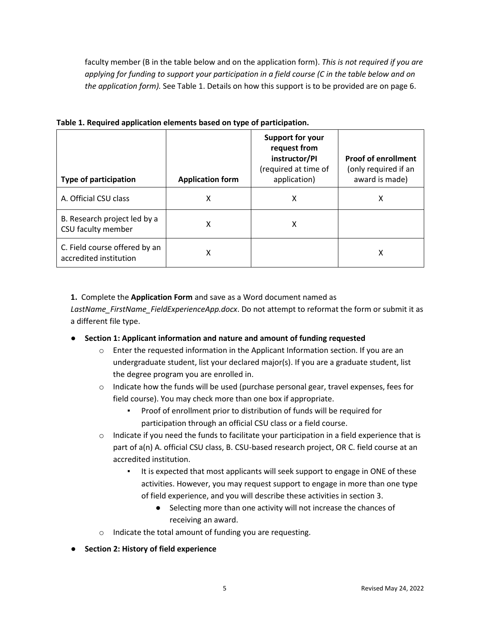faculty member (B in the table below and on the application form). *This is not required if you are applying for funding to support your participation in a field course (C in the table below and on the application form).* See Table 1. Details on how this support is to be provided are on page 6.

| <b>Type of participation</b>                            | <b>Application form</b> | <b>Support for your</b><br>request from<br>instructor/PI<br>(required at time of<br>application) | <b>Proof of enrollment</b><br>(only required if an<br>award is made) |
|---------------------------------------------------------|-------------------------|--------------------------------------------------------------------------------------------------|----------------------------------------------------------------------|
| A. Official CSU class                                   | x                       | х                                                                                                | x                                                                    |
| B. Research project led by a<br>CSU faculty member      | x                       | X                                                                                                |                                                                      |
| C. Field course offered by an<br>accredited institution | x                       |                                                                                                  | x                                                                    |

**Table 1. Required application elements based on type of participation.** 

**1.** Complete the **Application Form** and save as a Word document named as

*LastName\_FirstName\_FieldExperienceApp.docx*. Do not attempt to reformat the form or submit it as a different file type.

- **Section 1: Applicant information and nature and amount of funding requested**
	- o Enter the requested information in the Applicant Information section. If you are an undergraduate student, list your declared major(s). If you are a graduate student, list the degree program you are enrolled in.
	- $\circ$  Indicate how the funds will be used (purchase personal gear, travel expenses, fees for field course). You may check more than one box if appropriate.
		- Proof of enrollment prior to distribution of funds will be required for participation through an official CSU class or a field course.
	- $\circ$  Indicate if you need the funds to facilitate your participation in a field experience that is part of a(n) A. official CSU class, B. CSU-based research project, OR C. field course at an accredited institution.
		- It is expected that most applicants will seek support to engage in ONE of these activities. However, you may request support to engage in more than one type of field experience, and you will describe these activities in section 3.
			- Selecting more than one activity will not increase the chances of receiving an award.
	- o Indicate the total amount of funding you are requesting.
- **Section 2: History of field experience**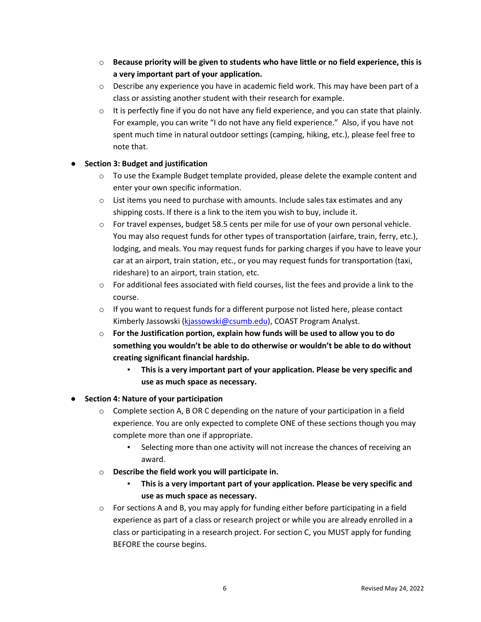- o **Because priority will be given to students who have little or no field experience, this is a very important part of your application.**
- $\circ$  Describe any experience you have in academic field work. This may have been part of a class or assisting another student with their research for example.
- $\circ$  It is perfectly fine if you do not have any field experience, and you can state that plainly. For example, you can write "I do not have any field experience." Also, if you have not spent much time in natural outdoor settings (camping, hiking, etc.), please feel free to note that.

### ● **Section 3: Budget and justification**

- $\circ$  To use the Example Budget template provided, please delete the example content and enter your own specific information.
- $\circ$  List items you need to purchase with amounts. Include sales tax estimates and any shipping costs. If there is a link to the item you wish to buy, include it.
- o For travel expenses, budget 58.5 cents per mile for use of your own personal vehicle. You may also request funds for other types of transportation (airfare, train, ferry, etc.), lodging, and meals. You may request funds for parking charges if you have to leave your car at an airport, train station, etc., or you may request funds for transportation (taxi, rideshare) to an airport, train station, etc.
- o For additional fees associated with field courses, list the fees and provide a link to the course.
- $\circ$  If you want to request funds for a different purpose not listed here, please contact Kimberly Jassowski [\(kjassowski@csumb.edu\)](mailto:kjassowski@csumb.edu), COAST Program Analyst.
- o **For the Justification portion, explain how funds will be used to allow you to do something you wouldn't be able to do otherwise or wouldn't be able to do without creating significant financial hardship.** 
	- **This is a very important part of your application. Please be very specific and use as much space as necessary.**

### ● **Section 4: Nature of your participation**

- $\circ$  Complete section A, B OR C depending on the nature of your participation in a field experience. You are only expected to complete ONE of these sections though you may complete more than one if appropriate.
	- Selecting more than one activity will not increase the chances of receiving an award.
- o **Describe the field work you will participate in.** 
	- This is a very important part of your application. Please be very specific and **use as much space as necessary.**
- $\circ$  For sections A and B, you may apply for funding either before participating in a field experience as part of a class or research project or while you are already enrolled in a class or participating in a research project. For section C, you MUST apply for funding BEFORE the course begins.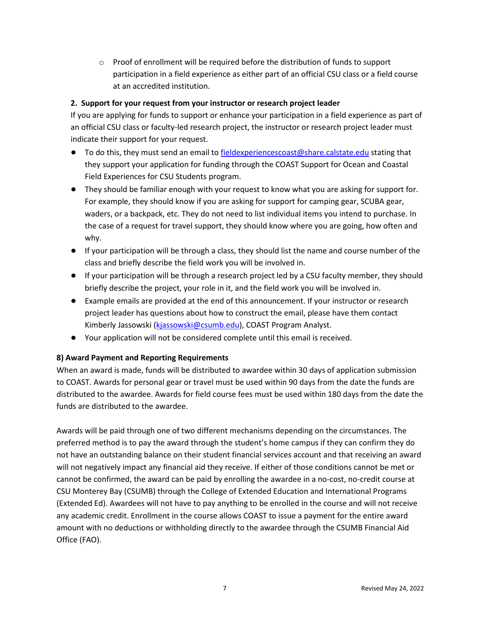$\circ$  Proof of enrollment will be required before the distribution of funds to support participation in a field experience as either part of an official CSU class or a field course at an accredited institution.

### **2. Support for your request from your instructor or research project leader**

If you are applying for funds to support or enhance your participation in a field experience as part of an official CSU class or faculty-led research project, the instructor or research project leader must indicate their support for your request.

- To do this, they must send an email to [fieldexperiencescoast@share.calstate.edu](mailto:fieldexperiencescoast@share.calstate.edu) stating that they support your application for funding through the COAST Support for Ocean and Coastal Field Experiences for CSU Students program.
- **●** They should be familiar enough with your request to know what you are asking for support for. For example, they should know if you are asking for support for camping gear, SCUBA gear, waders, or a backpack, etc. They do not need to list individual items you intend to purchase. In the case of a request for travel support, they should know where you are going, how often and why.
- **●** If your participation will be through a class, they should list the name and course number of the class and briefly describe the field work you will be involved in.
- **●** If your participation will be through a research project led by a CSU faculty member, they should briefly describe the project, your role in it, and the field work you will be involved in.
- **●** Example emails are provided at the end of this announcement. If your instructor or research project leader has questions about how to construct the email, please have them contact Kimberly Jassowski [\(kjassowski@csumb.edu\)](mailto:kjassowski@csumb.edu), COAST Program Analyst.
- **●** Your application will not be considered complete until this email is received.

### **8) Award Payment and Reporting Requirements**

When an award is made, funds will be distributed to awardee within 30 days of application submission to COAST. Awards for personal gear or travel must be used within 90 days from the date the funds are distributed to the awardee. Awards for field course fees must be used within 180 days from the date the funds are distributed to the awardee.

Awards will be paid through one of two different mechanisms depending on the circumstances. The preferred method is to pay the award through the student's home campus if they can confirm they do not have an outstanding balance on their student financial services account and that receiving an award will not negatively impact any financial aid they receive. If either of those conditions cannot be met or cannot be confirmed, the award can be paid by enrolling the awardee in a no-cost, no-credit course at CSU Monterey Bay (CSUMB) through the College of Extended Education and International Programs (Extended Ed). Awardees will not have to pay anything to be enrolled in the course and will not receive any academic credit. Enrollment in the course allows COAST to issue a payment for the entire award amount with no deductions or withholding directly to the awardee through the CSUMB Financial Aid Office (FAO).